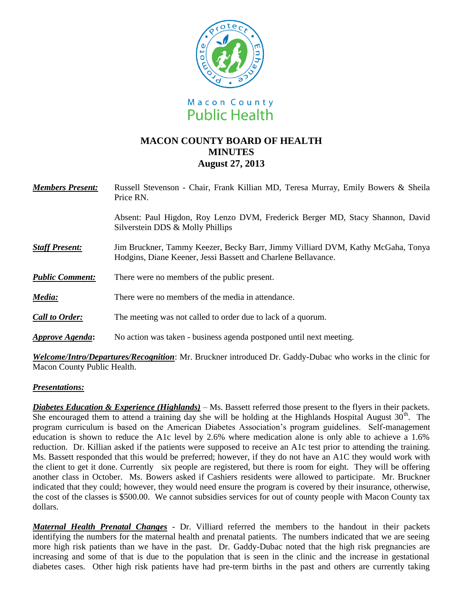

# **MACON COUNTY BOARD OF HEALTH MINUTES August 27, 2013**

| <b>Members Present:</b> | Russell Stevenson - Chair, Frank Killian MD, Teresa Murray, Emily Bowers & Sheila<br>Price RN.                                                   |
|-------------------------|--------------------------------------------------------------------------------------------------------------------------------------------------|
|                         | Absent: Paul Higdon, Roy Lenzo DVM, Frederick Berger MD, Stacy Shannon, David<br>Silverstein DDS & Molly Phillips                                |
| <b>Staff Present:</b>   | Jim Bruckner, Tammy Keezer, Becky Barr, Jimmy Villiard DVM, Kathy McGaha, Tonya<br>Hodgins, Diane Keener, Jessi Bassett and Charlene Bellavance. |
| <b>Public Comment:</b>  | There were no members of the public present.                                                                                                     |
| Media:                  | There were no members of the media in attendance.                                                                                                |
| <b>Call to Order:</b>   | The meeting was not called to order due to lack of a quorum.                                                                                     |
| <b>Approve Agenda:</b>  | No action was taken - business agenda postponed until next meeting.                                                                              |
|                         |                                                                                                                                                  |

*Welcome/Intro/Departures/Recognition*: Mr. Bruckner introduced Dr. Gaddy-Dubac who works in the clinic for Macon County Public Health.

## *Presentations:*

*Diabetes Education & Experience (Highlands)* – Ms. Bassett referred those present to the flyers in their packets. She encouraged them to attend a training day she will be holding at the Highlands Hospital August  $30<sup>th</sup>$ . The program curriculum is based on the American Diabetes Association's program guidelines. Self-management education is shown to reduce the A1c level by 2.6% where medication alone is only able to achieve a 1.6% reduction. Dr. Killian asked if the patients were supposed to receive an A1c test prior to attending the training. Ms. Bassett responded that this would be preferred; however, if they do not have an A1C they would work with the client to get it done. Currently six people are registered, but there is room for eight. They will be offering another class in October. Ms. Bowers asked if Cashiers residents were allowed to participate. Mr. Bruckner indicated that they could; however, they would need ensure the program is covered by their insurance, otherwise, the cost of the classes is \$500.00. We cannot subsidies services for out of county people with Macon County tax dollars.

*Maternal Health Prenatal Changes* - Dr. Villiard referred the members to the handout in their packets identifying the numbers for the maternal health and prenatal patients. The numbers indicated that we are seeing more high risk patients than we have in the past. Dr. Gaddy-Dubac noted that the high risk pregnancies are increasing and some of that is due to the population that is seen in the clinic and the increase in gestational diabetes cases. Other high risk patients have had pre-term births in the past and others are currently taking